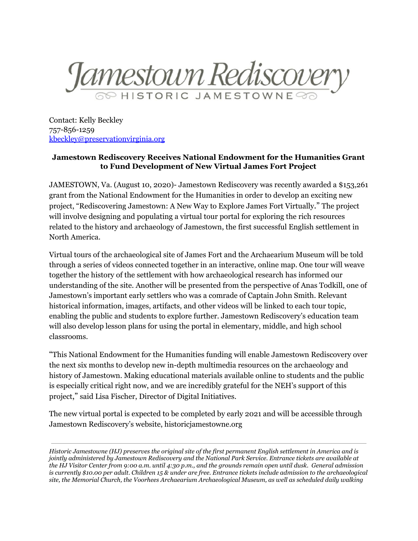

Contact: Kelly Beckley 757-856-1259 [kbeckley@preservationvirginia.org](mailto:kbeckley@preservationvirginia.org)

## **Jamestown Rediscovery Receives National Endowment for the Humanities Grant to Fund Development of New Virtual James Fort Project**

JAMESTOWN, Va. (August 10, 2020)- Jamestown Rediscovery was recently awarded a \$153,261 grant from the National Endowment for the Humanities in order to develop an exciting new project, "Rediscovering Jamestown: A New Way to Explore James Fort Virtually." The project will involve designing and populating a virtual tour portal for exploring the rich resources related to the history and archaeology of Jamestown, the first successful English settlement in North America.

Virtual tours of the archaeological site of James Fort and the Archaearium Museum will be told through a series of videos connected together in an interactive, online map. One tour will weave together the history of the settlement with how archaeological research has informed our understanding of the site. Another will be presented from the perspective of Anas Todkill, one of Jamestown's important early settlers who was a comrade of Captain John Smith. Relevant historical information, images, artifacts, and other videos will be linked to each tour topic, enabling the public and students to explore further. Jamestown Rediscovery's education team will also develop lesson plans for using the portal in elementary, middle, and high school classrooms.

"This National Endowment for the Humanities funding will enable Jamestown Rediscovery over the next six months to develop new in-depth multimedia resources on the archaeology and history of Jamestown. Making educational materials available online to students and the public is especially critical right now, and we are incredibly grateful for the NEH's support of this project," said Lisa Fischer, Director of Digital Initiatives.

The new virtual portal is expected to be completed by early 2021 and will be accessible through Jamestown Rediscovery's website, historicjamestowne.org

*Historic Jamestowne (HJ) preserves the original site of the first permanent English settlement in America and is jointly administered by Jamestown Rediscovery and the National Park Service. Entrance tickets are available at the HJ Visitor Center from 9:00 a.m. until 4:30 p.m., and the grounds remain open until dusk. General admission is currently \$10.00 per adult. Children 15 & under are free. Entrance tickets include admission to the archaeological site, the Memorial Church, the Voorhees Archaearium Archaeological Museum, as well as scheduled daily walking*